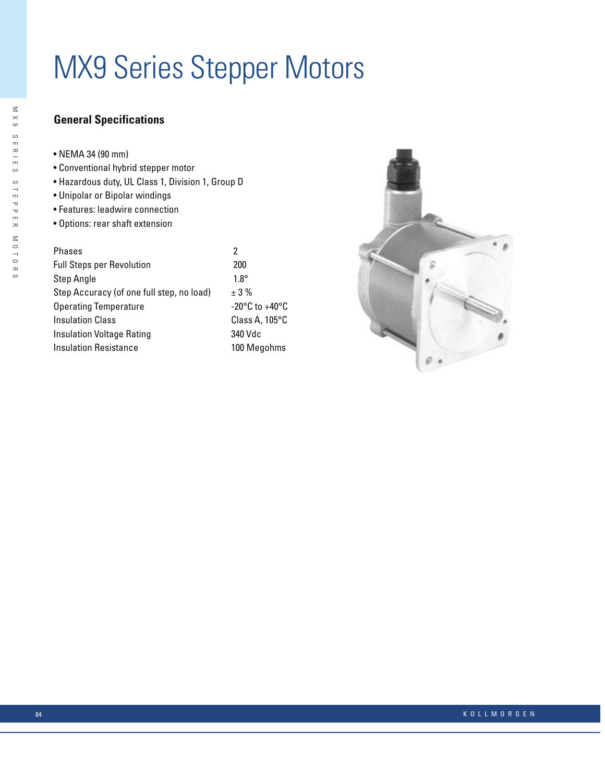# **MX9 Series Stepper Motors**

# **General Specifications**

| NEMA 34 (90 mm) |  |  |  |
|-----------------|--|--|--|
|                 |  |  |  |

- Conventional hybrid stepper motor
- · Hazardous duty, UL Class 1, Division 1, Group D
- Unipolar or Bipolar windings
- Features: leadwire connection
- · Options: rear shaft extension

| Phases                                    | 2       |  |  |  |  |
|-------------------------------------------|---------|--|--|--|--|
| Full Steps per Revolution                 |         |  |  |  |  |
| Step Angle                                | 1.      |  |  |  |  |
| Step Accuracy (of one full step, no load) | $\pm$ : |  |  |  |  |
| Operating Temperature                     | $-2$    |  |  |  |  |
| Insulation Class                          | СI      |  |  |  |  |
| Insulation Voltage Rating                 | 34      |  |  |  |  |
| Insulation Resistance                     | 10      |  |  |  |  |

 $00\,$  $8^\circ$ 3 %  $20^{\circ}$ C to +40 $^{\circ}$ C ass A, 105°C 0 Vdc 00 Megohms

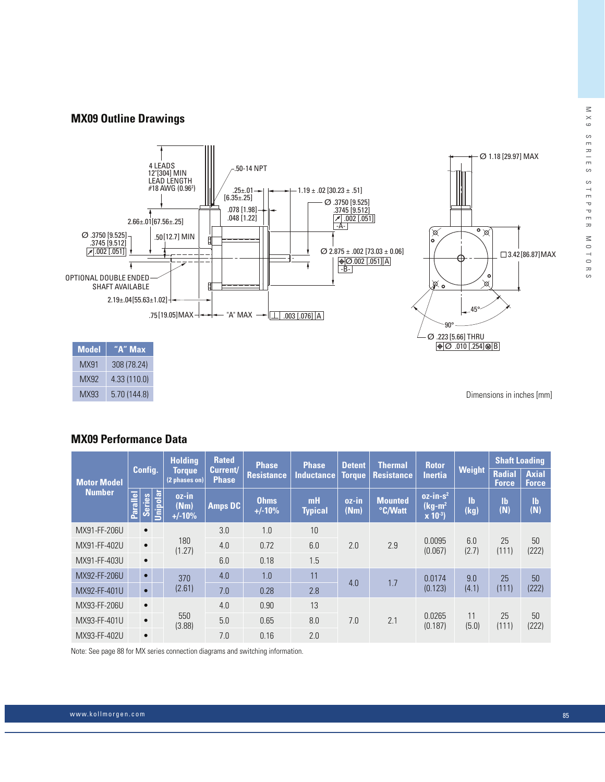#### **MX09 Outline Drawings**



MX93 5.70 (144.8) Dimensions in inches [mm]

#### **MX09 Performance Data**

|                    | Config.         |               |          | <b>Holdina</b>                                      | <b>Rated</b>   | <b>Phase</b>            | <b>Phase</b>         | <b>Detent</b>                      | <b>Thermal</b>            | <b>Rotor</b>                           |                   | <b>Shaft Loading</b>          |                              |
|--------------------|-----------------|---------------|----------|-----------------------------------------------------|----------------|-------------------------|----------------------|------------------------------------|---------------------------|----------------------------------------|-------------------|-------------------------------|------------------------------|
| <b>Motor Model</b> |                 |               |          | Current/<br>Torque<br><b>Phase</b><br>(2 phases on) |                | <b>Resistance</b>       | <b>Inductance</b>    | <b>Resistance</b><br><b>Torque</b> |                           | <b>Inertia</b>                         | <b>Weight</b>     | <b>Radial</b><br><b>Force</b> | <b>Axial</b><br><b>Force</b> |
| <b>Number</b>      | <b>Parallel</b> | <b>Series</b> | Jnipolar | oz-in<br>(Nm)<br>$+/-10%$                           | <b>Amps DC</b> | <b>Ohms</b><br>$+/-10%$ | mH<br><b>Typical</b> | oz-in<br>(Nm)                      | <b>Mounted</b><br>°C/Watt | $oz-in-s2$<br>$(kg-m2)$<br>$x 10^{-3}$ | <b>Ib</b><br>(kg) | <b>Ib</b><br>(N)              | $\mathbf{I}$<br>(N)          |
| MX91-FF-206U       |                 | $\bullet$     |          | 180<br>(1.27)                                       | 3.0            | 1.0                     | 10                   | 2.0                                | 2.9                       | 0.0095<br>(0.067)                      | 6.0<br>(2.7)      | 25<br>(111)                   | 50<br>(222)                  |
| MX91-FF-402U       |                 | $\bullet$     |          |                                                     | 4.0            | 0.72                    | 6.0                  |                                    |                           |                                        |                   |                               |                              |
| MX91-FF-403U       |                 | $\bullet$     |          |                                                     | 6.0            | 0.18                    | 1.5                  |                                    |                           |                                        |                   |                               |                              |
| MX92-FF-206U       |                 | $\bullet$     |          | 370                                                 | 4.0            | 1.0                     | 11                   | 4.0                                | 1.7                       | 0.0174                                 | 9.0               | 25                            | 50                           |
| MX92-FF-401U       |                 | $\bullet$     |          | (2.61)                                              | 7.0            | 0.28                    | 2.8                  |                                    |                           | (0.123)                                | (4.1)             | (111)                         | (222)                        |
| MX93-FF-206U       |                 | $\bullet$     |          | 550<br>(3.88)                                       | 4.0            | 0.90                    | 13                   | 7.0                                | 2.1                       | 0.0265<br>(0.187)                      | 11<br>(5.0)       | 25<br>(111)                   | 50<br>(222)                  |
| MX93-FF-401U       |                 | $\bullet$     |          |                                                     | 5.0            | 0.65                    | 8.0                  |                                    |                           |                                        |                   |                               |                              |
| MX93-FF-402U       |                 | $\bullet$     |          |                                                     | 7.0            | 0.16                    | 2.0                  |                                    |                           |                                        |                   |                               |                              |

Note: See page 88 for MX series connection diagrams and switching information.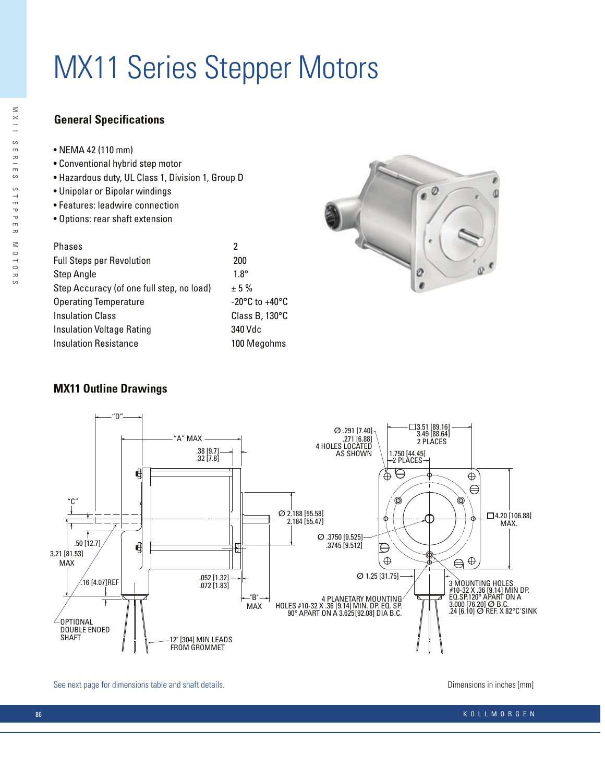# **MX11 Series Stepper Motors**

# **General Specifications**

- NEMA 42 (110 mm)
- Conventional hybrid step motor
- Hazardous duty, UL Class 1, Division 1, Group D
- Unipolar or Bipolar windings
- Features: leadwire connection
- Options: rear shaft extension

| <b>Phases</b>                             | 2                                                    |
|-------------------------------------------|------------------------------------------------------|
| <b>Full Steps per Revolution</b>          | 200                                                  |
| <b>Step Angle</b>                         | $1.8^\circ$                                          |
| Step Accuracy (of one full step, no load) | ± 5%                                                 |
| <b>Operating Temperature</b>              | -20 $\mathrm{^{\circ}C}$ to +40 $\mathrm{^{\circ}C}$ |
| <b>Insulation Class</b>                   | Class B, 130°C                                       |
| Insulation Voltage Rating                 | 340 Vdc                                              |
| <b>Insulation Resistance</b>              | 100 Megohms                                          |



## **MX11 Outline Drawings**



See next page for dimensions table and shaft details.

Dimensions in inches [mm]